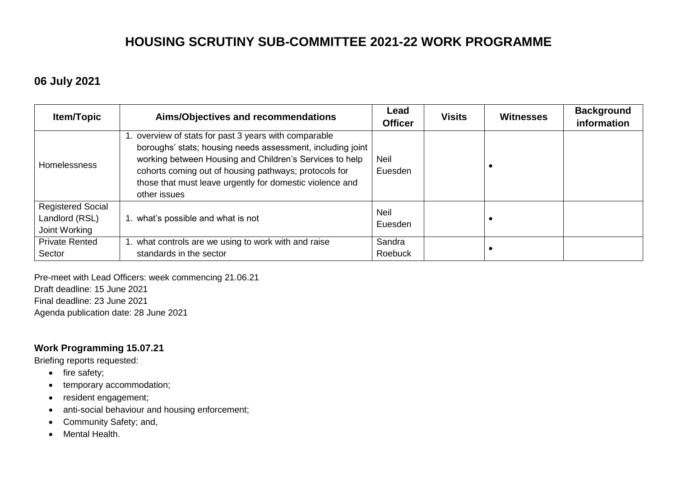# **HOUSING SCRUTINY SUB-COMMITTEE 2021-22 WORK PROGRAMME**

### **06 July 2021**

| <b>Item/Topic</b>                                           | Aims/Objectives and recommendations                                                                                                                                                                                                                                                                                 | Lead<br><b>Officer</b> | <b>Visits</b> | <b>Witnesses</b> | <b>Background</b><br>information |
|-------------------------------------------------------------|---------------------------------------------------------------------------------------------------------------------------------------------------------------------------------------------------------------------------------------------------------------------------------------------------------------------|------------------------|---------------|------------------|----------------------------------|
| <b>Homelessness</b>                                         | 1. overview of stats for past 3 years with comparable<br>boroughs' stats; housing needs assessment, including joint<br>working between Housing and Children's Services to help<br>cohorts coming out of housing pathways; protocols for<br>those that must leave urgently for domestic violence and<br>other issues | Neil<br>Euesden        |               |                  |                                  |
| <b>Registered Social</b><br>Landlord (RSL)<br>Joint Working | 1. what's possible and what is not                                                                                                                                                                                                                                                                                  | <b>Neil</b><br>Euesden |               |                  |                                  |
| <b>Private Rented</b><br>Sector                             | 1. what controls are we using to work with and raise<br>standards in the sector                                                                                                                                                                                                                                     | Sandra<br>Roebuck      |               |                  |                                  |

Pre-meet with Lead Officers: week commencing 21.06.21 Draft deadline: 15 June 2021

Final deadline: 23 June 2021

Agenda publication date: 28 June 2021

#### **Work Programming 15.07.21**

Briefing reports requested:

- $\bullet$  fire safety;
- temporary accommodation;
- resident engagement;
- anti-social behaviour and housing enforcement;
- Community Safety; and,
- Mental Health.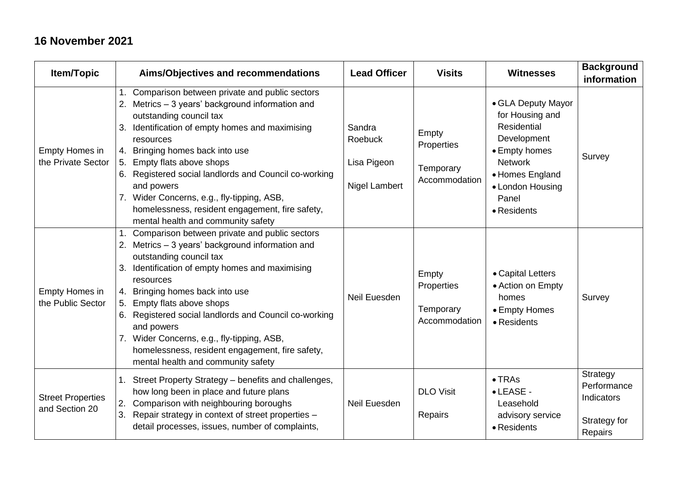### **16 November 2021**

| <b>Item/Topic</b>                          | Aims/Objectives and recommendations                                                                                                                                                                                                                                                                                                                                                                                                                                               | <b>Lead Officer</b>                                      | <b>Visits</b>                                     | <b>Witnesses</b>                                                                                                                                                             | <b>Background</b><br>information                                 |
|--------------------------------------------|-----------------------------------------------------------------------------------------------------------------------------------------------------------------------------------------------------------------------------------------------------------------------------------------------------------------------------------------------------------------------------------------------------------------------------------------------------------------------------------|----------------------------------------------------------|---------------------------------------------------|------------------------------------------------------------------------------------------------------------------------------------------------------------------------------|------------------------------------------------------------------|
| Empty Homes in<br>the Private Sector       | 1. Comparison between private and public sectors<br>2. Metrics - 3 years' background information and<br>outstanding council tax<br>Identification of empty homes and maximising<br>3.<br>resources<br>4. Bringing homes back into use<br>5. Empty flats above shops<br>6. Registered social landlords and Council co-working<br>and powers<br>7. Wider Concerns, e.g., fly-tipping, ASB,<br>homelessness, resident engagement, fire safety,<br>mental health and community safety | Sandra<br>Roebuck<br>Lisa Pigeon<br><b>Nigel Lambert</b> | Empty<br>Properties<br>Temporary<br>Accommodation | • GLA Deputy Mayor<br>for Housing and<br><b>Residential</b><br>Development<br>• Empty homes<br><b>Network</b><br>• Homes England<br>• London Housing<br>Panel<br>• Residents | Survey                                                           |
| <b>Empty Homes in</b><br>the Public Sector | Comparison between private and public sectors<br>2. Metrics - 3 years' background information and<br>outstanding council tax<br>Identification of empty homes and maximising<br>3.<br>resources<br>4. Bringing homes back into use<br>Empty flats above shops<br>5.<br>6. Registered social landlords and Council co-working<br>and powers<br>7. Wider Concerns, e.g., fly-tipping, ASB,<br>homelessness, resident engagement, fire safety,<br>mental health and community safety | Neil Euesden                                             | Empty<br>Properties<br>Temporary<br>Accommodation | • Capital Letters<br>• Action on Empty<br>homes<br>• Empty Homes<br>• Residents                                                                                              | Survey                                                           |
| <b>Street Properties</b><br>and Section 20 | Street Property Strategy - benefits and challenges,<br>1.<br>how long been in place and future plans<br>Comparison with neighbouring boroughs<br>2.<br>3.<br>Repair strategy in context of street properties -<br>detail processes, issues, number of complaints,                                                                                                                                                                                                                 | Neil Euesden                                             | <b>DLO Visit</b><br>Repairs                       | $\bullet$ TRAs<br>• LEASE -<br>Leasehold<br>advisory service<br>• Residents                                                                                                  | Strategy<br>Performance<br>Indicators<br>Strategy for<br>Repairs |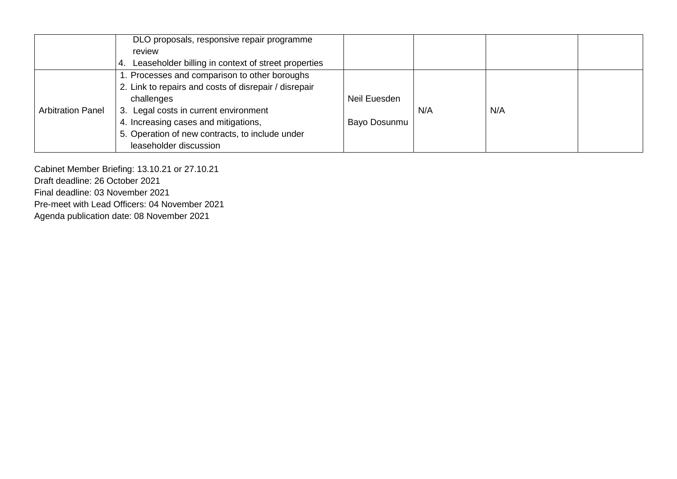|                          | DLO proposals, responsive repair programme                          |              |     |     |  |
|--------------------------|---------------------------------------------------------------------|--------------|-----|-----|--|
|                          | review                                                              |              |     |     |  |
|                          | Leaseholder billing in context of street properties<br>$\mathbf{4}$ |              |     |     |  |
|                          | 1. Processes and comparison to other boroughs                       |              |     |     |  |
|                          | 2. Link to repairs and costs of disrepair / disrepair               |              |     |     |  |
|                          | challenges                                                          | Neil Euesden |     |     |  |
| <b>Arbitration Panel</b> | 3. Legal costs in current environment                               |              | N/A | N/A |  |
|                          | 4. Increasing cases and mitigations,                                | Bayo Dosunmu |     |     |  |
|                          | 5. Operation of new contracts, to include under                     |              |     |     |  |
|                          | leaseholder discussion                                              |              |     |     |  |

Cabinet Member Briefing: 13.10.21 or 27.10.21 Draft deadline: 26 October 2021 Final deadline: 03 November 2021 Pre-meet with Lead Officers: 04 November 2021 Agenda publication date: 08 November 2021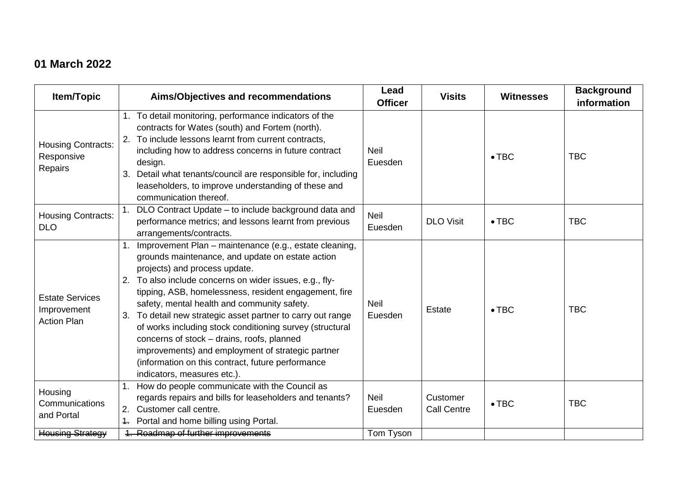## **01 March 2022**

| Item/Topic                                                  | Aims/Objectives and recommendations                                                                                                                                                                                                                                                                                                                                                                                                                                                                                                                                                                                              | Lead<br><b>Officer</b> | <b>Visits</b>                  | <b>Witnesses</b> | <b>Background</b><br>information |
|-------------------------------------------------------------|----------------------------------------------------------------------------------------------------------------------------------------------------------------------------------------------------------------------------------------------------------------------------------------------------------------------------------------------------------------------------------------------------------------------------------------------------------------------------------------------------------------------------------------------------------------------------------------------------------------------------------|------------------------|--------------------------------|------------------|----------------------------------|
| <b>Housing Contracts:</b><br>Responsive<br>Repairs          | 1. To detail monitoring, performance indicators of the<br>contracts for Wates (south) and Fortem (north).<br>To include lessons learnt from current contracts,<br>including how to address concerns in future contract<br>design.<br>Detail what tenants/council are responsible for, including<br>leaseholders, to improve understanding of these and<br>communication thereof.                                                                                                                                                                                                                                                 | <b>Neil</b><br>Euesden |                                | $\bullet$ TBC    | <b>TBC</b>                       |
| <b>Housing Contracts:</b><br><b>DLO</b>                     | DLO Contract Update - to include background data and<br>performance metrics; and lessons learnt from previous<br>arrangements/contracts.                                                                                                                                                                                                                                                                                                                                                                                                                                                                                         | <b>Neil</b><br>Euesden | <b>DLO Visit</b>               | $\bullet$ TBC    | <b>TBC</b>                       |
| <b>Estate Services</b><br>Improvement<br><b>Action Plan</b> | Improvement Plan - maintenance (e.g., estate cleaning,<br>grounds maintenance, and update on estate action<br>projects) and process update.<br>To also include concerns on wider issues, e.g., fly-<br>tipping, ASB, homelessness, resident engagement, fire<br>safety, mental health and community safety.<br>To detail new strategic asset partner to carry out range<br>3.<br>of works including stock conditioning survey (structural<br>concerns of stock - drains, roofs, planned<br>improvements) and employment of strategic partner<br>(information on this contract, future performance<br>indicators, measures etc.). | <b>Neil</b><br>Euesden | <b>Estate</b>                  | $\bullet$ TBC    | <b>TBC</b>                       |
| Housing<br>Communications<br>and Portal                     | How do people communicate with the Council as<br>regards repairs and bills for leaseholders and tenants?<br>Customer call centre.<br>2.<br>Portal and home billing using Portal.                                                                                                                                                                                                                                                                                                                                                                                                                                                 | <b>Neil</b><br>Euesden | Customer<br><b>Call Centre</b> | $\bullet$ TBC    | <b>TBC</b>                       |
| <b>Housing Strategy</b>                                     | 1. Roadmap of further improvements                                                                                                                                                                                                                                                                                                                                                                                                                                                                                                                                                                                               | Tom Tyson              |                                |                  |                                  |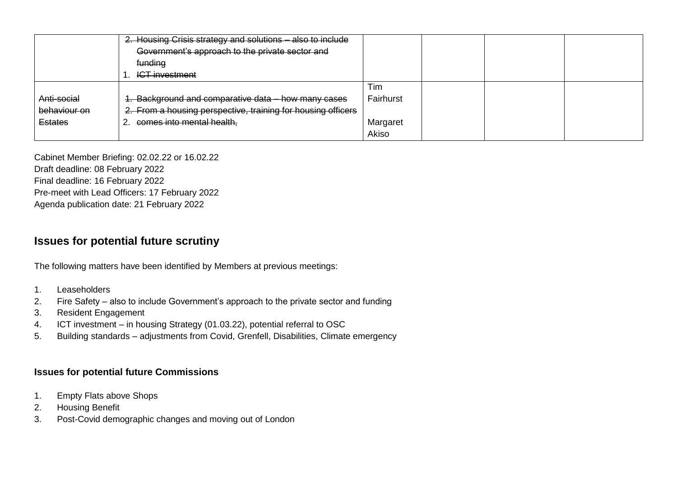|                | 2. Housing Crisis strategy and solutions - also to include   |           |  |  |
|----------------|--------------------------------------------------------------|-----------|--|--|
|                | Government's approach to the private sector and              |           |  |  |
|                | funding                                                      |           |  |  |
|                | <b>ICT investment</b>                                        |           |  |  |
|                |                                                              | Tim       |  |  |
| Anti-social    | 1. Background and comparative data - how many cases          | Fairhurst |  |  |
| behaviour on   | 2. From a housing perspective, training for housing officers |           |  |  |
| <b>Estates</b> | comes into mental health,                                    | Margaret  |  |  |
|                |                                                              | Akiso     |  |  |

Cabinet Member Briefing: 02.02.22 or 16.02.22 Draft deadline: 08 February 2022 Final deadline: 16 February 2022 Pre-meet with Lead Officers: 17 February 2022 Agenda publication date: 21 February 2022

### **Issues for potential future scrutiny**

The following matters have been identified by Members at previous meetings:

- 1. Leaseholders
- 2. Fire Safety also to include Government's approach to the private sector and funding
- 3. Resident Engagement
- 4. ICT investment in housing Strategy (01.03.22), potential referral to OSC
- 5. Building standards adjustments from Covid, Grenfell, Disabilities, Climate emergency

#### **Issues for potential future Commissions**

- 1. Empty Flats above Shops
- 2. Housing Benefit
- 3. Post-Covid demographic changes and moving out of London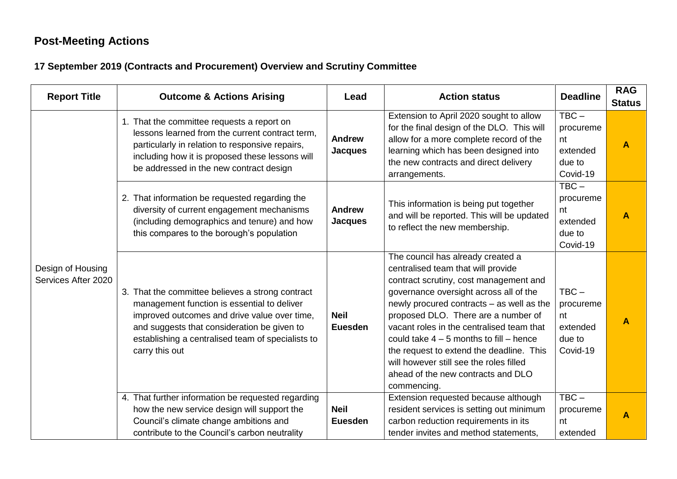## **Post-Meeting Actions**

### **17 September 2019 (Contracts and Procurement) Overview and Scrutiny Committee**

| <b>Report Title</b>                      | <b>Outcome &amp; Actions Arising</b>                                                                                                                                                                                                                                  | Lead                            | <b>Action status</b>                                                                                                                                                                                                                                                                                                                                                                                                                                                                    | <b>Deadline</b>                                              | <b>RAG</b><br><b>Status</b> |
|------------------------------------------|-----------------------------------------------------------------------------------------------------------------------------------------------------------------------------------------------------------------------------------------------------------------------|---------------------------------|-----------------------------------------------------------------------------------------------------------------------------------------------------------------------------------------------------------------------------------------------------------------------------------------------------------------------------------------------------------------------------------------------------------------------------------------------------------------------------------------|--------------------------------------------------------------|-----------------------------|
|                                          | 1. That the committee requests a report on<br>lessons learned from the current contract term,<br>particularly in relation to responsive repairs,<br>including how it is proposed these lessons will<br>be addressed in the new contract design                        | <b>Andrew</b><br><b>Jacques</b> | Extension to April 2020 sought to allow<br>for the final design of the DLO. This will<br>allow for a more complete record of the<br>learning which has been designed into<br>the new contracts and direct delivery<br>arrangements.                                                                                                                                                                                                                                                     | $TBC -$<br>procureme<br>nt<br>extended<br>due to<br>Covid-19 | $\blacktriangle$            |
|                                          | 2. That information be requested regarding the<br>diversity of current engagement mechanisms<br>(including demographics and tenure) and how<br>this compares to the borough's population                                                                              | <b>Andrew</b><br><b>Jacques</b> | This information is being put together<br>and will be reported. This will be updated<br>to reflect the new membership.                                                                                                                                                                                                                                                                                                                                                                  | $TBC -$<br>procureme<br>nt<br>extended<br>due to<br>Covid-19 | $\blacktriangle$            |
| Design of Housing<br>Services After 2020 | 3. That the committee believes a strong contract<br>management function is essential to deliver<br>improved outcomes and drive value over time,<br>and suggests that consideration be given to<br>establishing a centralised team of specialists to<br>carry this out | <b>Neil</b><br><b>Euesden</b>   | The council has already created a<br>centralised team that will provide<br>contract scrutiny, cost management and<br>governance oversight across all of the<br>newly procured contracts - as well as the<br>proposed DLO. There are a number of<br>vacant roles in the centralised team that<br>could take $4 - 5$ months to fill $-$ hence<br>the request to extend the deadline. This<br>will however still see the roles filled<br>ahead of the new contracts and DLO<br>commencing. | $TBC -$<br>procureme<br>nt<br>extended<br>due to<br>Covid-19 | $\blacktriangle$            |
|                                          | 4. That further information be requested regarding<br>how the new service design will support the<br>Council's climate change ambitions and<br>contribute to the Council's carbon neutrality                                                                          | <b>Neil</b><br><b>Euesden</b>   | Extension requested because although<br>resident services is setting out minimum<br>carbon reduction requirements in its<br>tender invites and method statements,                                                                                                                                                                                                                                                                                                                       | $\overline{\text{TBC}-}$<br>procureme<br>nt<br>extended      | A                           |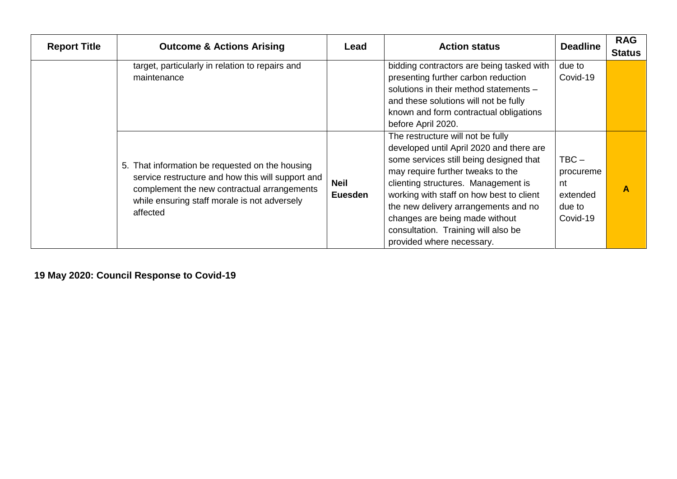| <b>Report Title</b> | <b>Outcome &amp; Actions Arising</b>                                                                                                                                                                            | Lead                   | <b>Action status</b>                                                                                                                                                                                                                                                                                                                                                                           | <b>Deadline</b>                                              | <b>RAG</b><br><b>Status</b> |
|---------------------|-----------------------------------------------------------------------------------------------------------------------------------------------------------------------------------------------------------------|------------------------|------------------------------------------------------------------------------------------------------------------------------------------------------------------------------------------------------------------------------------------------------------------------------------------------------------------------------------------------------------------------------------------------|--------------------------------------------------------------|-----------------------------|
|                     | target, particularly in relation to repairs and<br>maintenance                                                                                                                                                  |                        | bidding contractors are being tasked with<br>presenting further carbon reduction<br>solutions in their method statements -<br>and these solutions will not be fully<br>known and form contractual obligations<br>before April 2020.                                                                                                                                                            | due to<br>Covid-19                                           |                             |
|                     | 5. That information be requested on the housing<br>service restructure and how this will support and<br>complement the new contractual arrangements<br>while ensuring staff morale is not adversely<br>affected | <b>Neil</b><br>Euesden | The restructure will not be fully<br>developed until April 2020 and there are<br>some services still being designed that<br>may require further tweaks to the<br>clienting structures. Management is<br>working with staff on how best to client<br>the new delivery arrangements and no<br>changes are being made without<br>consultation. Training will also be<br>provided where necessary. | $TBC -$<br>procureme<br>nt<br>extended<br>due to<br>Covid-19 | A                           |

**19 May 2020: Council Response to Covid-19**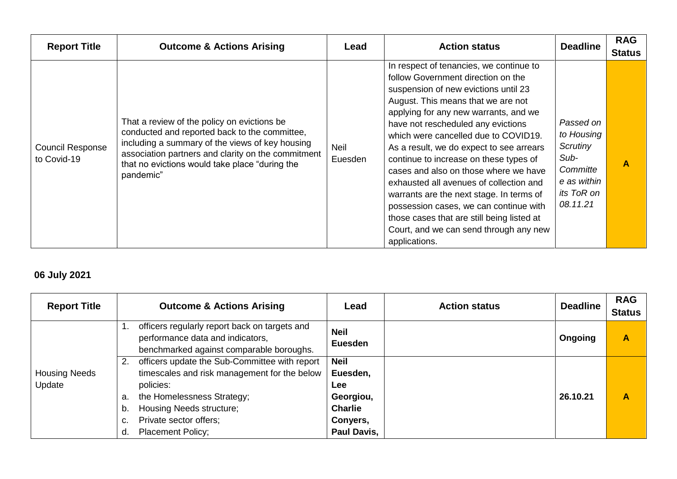| <b>Report Title</b>                    | <b>Outcome &amp; Actions Arising</b>                                                                                                                                                                                                                                 | Lead                   | <b>Action status</b>                                                                                                                                                                                                                                                                                                                                                                                                                                                                                                                                                                                                                                        | <b>Deadline</b>                                                                                  | <b>RAG</b><br><b>Status</b> |
|----------------------------------------|----------------------------------------------------------------------------------------------------------------------------------------------------------------------------------------------------------------------------------------------------------------------|------------------------|-------------------------------------------------------------------------------------------------------------------------------------------------------------------------------------------------------------------------------------------------------------------------------------------------------------------------------------------------------------------------------------------------------------------------------------------------------------------------------------------------------------------------------------------------------------------------------------------------------------------------------------------------------------|--------------------------------------------------------------------------------------------------|-----------------------------|
| <b>Council Response</b><br>to Covid-19 | That a review of the policy on evictions be<br>conducted and reported back to the committee,<br>including a summary of the views of key housing<br>association partners and clarity on the commitment<br>that no evictions would take place "during the<br>pandemic" | <b>Neil</b><br>Euesden | In respect of tenancies, we continue to<br>follow Government direction on the<br>suspension of new evictions until 23<br>August. This means that we are not<br>applying for any new warrants, and we<br>have not rescheduled any evictions<br>which were cancelled due to COVID19.<br>As a result, we do expect to see arrears<br>continue to increase on these types of<br>cases and also on those where we have<br>exhausted all avenues of collection and<br>warrants are the next stage. In terms of<br>possession cases, we can continue with<br>those cases that are still being listed at<br>Court, and we can send through any new<br>applications. | Passed on<br>to Housing<br>Scrutiny<br>Sub-<br>Committe<br>e as within<br>its ToR on<br>08.11.21 | Α                           |

## **06 July 2021**

| <b>Report Title</b>  |    | <b>Outcome &amp; Actions Arising</b>                                                                                          | Lead                          | <b>Action status</b> | <b>Deadline</b> | <b>RAG</b><br><b>Status</b> |
|----------------------|----|-------------------------------------------------------------------------------------------------------------------------------|-------------------------------|----------------------|-----------------|-----------------------------|
|                      |    | officers regularly report back on targets and<br>performance data and indicators,<br>benchmarked against comparable boroughs. | <b>Neil</b><br><b>Euesden</b> |                      | Ongoing         | A                           |
|                      | 2. | officers update the Sub-Committee with report                                                                                 | <b>Neil</b>                   |                      |                 |                             |
| <b>Housing Needs</b> |    | timescales and risk management for the below                                                                                  | Euesden,                      |                      |                 |                             |
| Update               |    | policies:                                                                                                                     | Lee                           |                      |                 |                             |
|                      | a. | the Homelessness Strategy;                                                                                                    | Georgiou,                     |                      | 26.10.21        | A                           |
|                      | b. | Housing Needs structure;                                                                                                      | <b>Charlie</b>                |                      |                 |                             |
|                      | c. | Private sector offers;                                                                                                        | Conyers,                      |                      |                 |                             |
|                      | d. | <b>Placement Policy;</b>                                                                                                      | Paul Davis,                   |                      |                 |                             |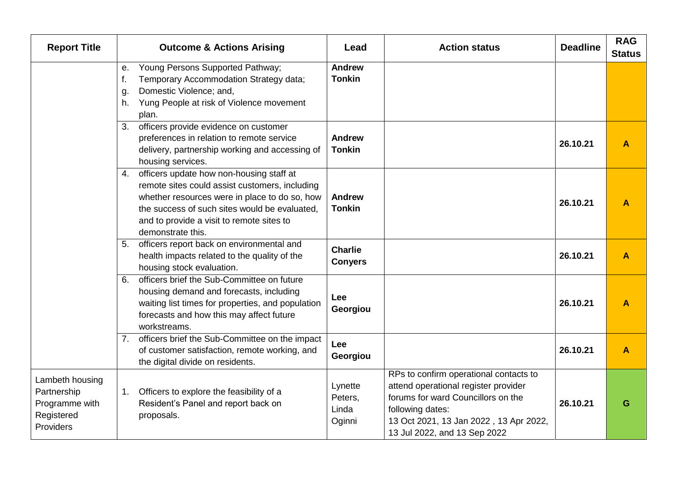| <b>Report Title</b>                                                         | <b>Outcome &amp; Actions Arising</b>                                                                                                                                                                                                                                 | Lead                                  | <b>Action status</b>                                                                                                                                                                                               | <b>Deadline</b> | <b>RAG</b><br><b>Status</b> |
|-----------------------------------------------------------------------------|----------------------------------------------------------------------------------------------------------------------------------------------------------------------------------------------------------------------------------------------------------------------|---------------------------------------|--------------------------------------------------------------------------------------------------------------------------------------------------------------------------------------------------------------------|-----------------|-----------------------------|
|                                                                             | Young Persons Supported Pathway;<br>е.<br>f.<br>Temporary Accommodation Strategy data;<br>Domestic Violence; and,<br>g.<br>Yung People at risk of Violence movement<br>h.<br>plan.                                                                                   | <b>Andrew</b><br><b>Tonkin</b>        |                                                                                                                                                                                                                    |                 |                             |
|                                                                             | officers provide evidence on customer<br>3.<br>preferences in relation to remote service<br>delivery, partnership working and accessing of<br>housing services.                                                                                                      | <b>Andrew</b><br><b>Tonkin</b>        |                                                                                                                                                                                                                    | 26.10.21        | $\blacktriangle$            |
|                                                                             | officers update how non-housing staff at<br>4.<br>remote sites could assist customers, including<br>whether resources were in place to do so, how<br>the success of such sites would be evaluated.<br>and to provide a visit to remote sites to<br>demonstrate this. | <b>Andrew</b><br><b>Tonkin</b>        |                                                                                                                                                                                                                    | 26.10.21        | A                           |
|                                                                             | officers report back on environmental and<br>5.<br>health impacts related to the quality of the<br>housing stock evaluation.                                                                                                                                         | <b>Charlie</b><br><b>Conyers</b>      |                                                                                                                                                                                                                    | 26.10.21        | $\overline{\mathsf{A}}$     |
|                                                                             | officers brief the Sub-Committee on future<br>6.<br>housing demand and forecasts, including<br>waiting list times for properties, and population<br>forecasts and how this may affect future<br>workstreams.                                                         | Lee<br>Georgiou                       |                                                                                                                                                                                                                    | 26.10.21        | A                           |
|                                                                             | officers brief the Sub-Committee on the impact<br>7.<br>of customer satisfaction, remote working, and<br>the digital divide on residents.                                                                                                                            | Lee<br>Georgiou                       |                                                                                                                                                                                                                    | 26.10.21        | $\overline{\mathsf{A}}$     |
| Lambeth housing<br>Partnership<br>Programme with<br>Registered<br>Providers | Officers to explore the feasibility of a<br>1.<br>Resident's Panel and report back on<br>proposals.                                                                                                                                                                  | Lynette<br>Peters,<br>Linda<br>Oginni | RPs to confirm operational contacts to<br>attend operational register provider<br>forums for ward Councillors on the<br>following dates:<br>13 Oct 2021, 13 Jan 2022, 13 Apr 2022,<br>13 Jul 2022, and 13 Sep 2022 | 26.10.21        | G                           |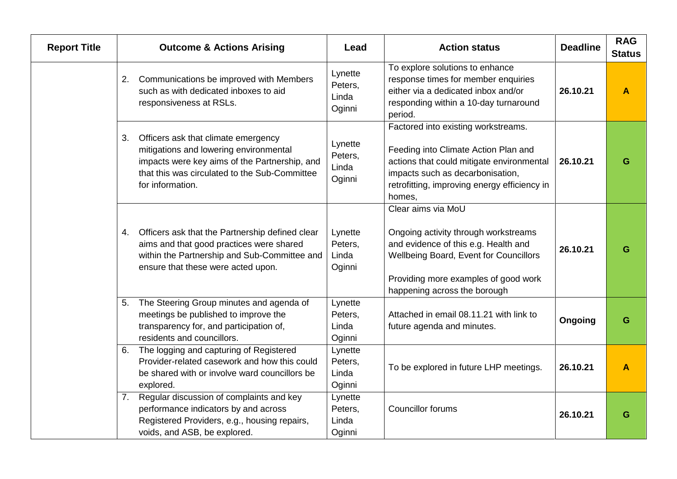| <b>Report Title</b> | <b>Outcome &amp; Actions Arising</b>                                                                                                                                                                      | Lead                                  | <b>Action status</b>                                                                                                                                                                                                   | <b>Deadline</b> | <b>RAG</b><br><b>Status</b> |
|---------------------|-----------------------------------------------------------------------------------------------------------------------------------------------------------------------------------------------------------|---------------------------------------|------------------------------------------------------------------------------------------------------------------------------------------------------------------------------------------------------------------------|-----------------|-----------------------------|
|                     | Communications be improved with Members<br>2.<br>such as with dedicated inboxes to aid<br>responsiveness at RSLs.                                                                                         | Lynette<br>Peters,<br>Linda<br>Oginni | To explore solutions to enhance<br>response times for member enquiries<br>either via a dedicated inbox and/or<br>responding within a 10-day turnaround<br>period.                                                      | 26.10.21        | A                           |
|                     | 3.<br>Officers ask that climate emergency<br>mitigations and lowering environmental<br>impacts were key aims of the Partnership, and<br>that this was circulated to the Sub-Committee<br>for information. | Lynette<br>Peters,<br>Linda<br>Oginni | Factored into existing workstreams.<br>Feeding into Climate Action Plan and<br>actions that could mitigate environmental<br>impacts such as decarbonisation,<br>retrofitting, improving energy efficiency in<br>homes, | 26.10.21        | G                           |
|                     | 4. Officers ask that the Partnership defined clear<br>aims and that good practices were shared<br>within the Partnership and Sub-Committee and<br>ensure that these were acted upon.                      | Lynette<br>Peters,<br>Linda<br>Oginni | Clear aims via MoU<br>Ongoing activity through workstreams<br>and evidence of this e.g. Health and<br>Wellbeing Board, Event for Councillors<br>Providing more examples of good work<br>happening across the borough   | 26.10.21        | G                           |
|                     | The Steering Group minutes and agenda of<br>5.<br>meetings be published to improve the<br>transparency for, and participation of,<br>residents and councillors.                                           | Lynette<br>Peters,<br>Linda<br>Oginni | Attached in email 08.11.21 with link to<br>future agenda and minutes.                                                                                                                                                  | Ongoing         | G                           |
|                     | The logging and capturing of Registered<br>6.<br>Provider-related casework and how this could<br>be shared with or involve ward councillors be<br>explored.                                               | Lynette<br>Peters,<br>Linda<br>Oginni | To be explored in future LHP meetings.                                                                                                                                                                                 | 26.10.21        |                             |
|                     | Regular discussion of complaints and key<br>7.<br>performance indicators by and across<br>Registered Providers, e.g., housing repairs,<br>voids, and ASB, be explored.                                    | Lynette<br>Peters,<br>Linda<br>Oginni | <b>Councillor forums</b>                                                                                                                                                                                               | 26.10.21        | G                           |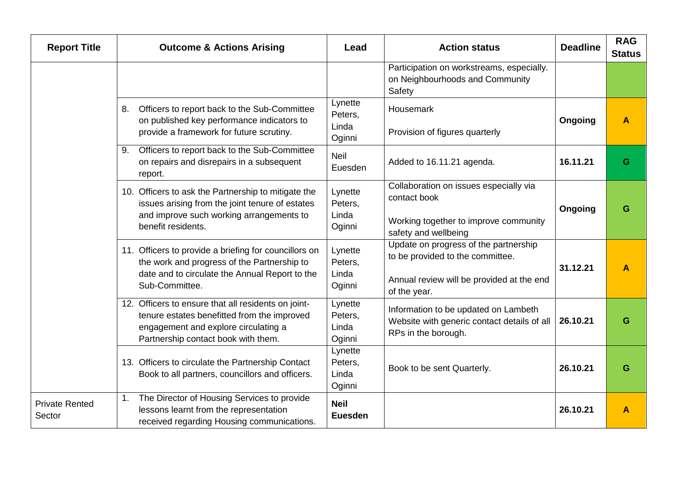| <b>Report Title</b>             | <b>Outcome &amp; Actions Arising</b>                                                                                                                                              | Lead                                  | <b>Action status</b>                                                                                                                   | <b>Deadline</b> | <b>RAG</b><br><b>Status</b> |
|---------------------------------|-----------------------------------------------------------------------------------------------------------------------------------------------------------------------------------|---------------------------------------|----------------------------------------------------------------------------------------------------------------------------------------|-----------------|-----------------------------|
|                                 |                                                                                                                                                                                   |                                       | Participation on workstreams, especially.<br>on Neighbourhoods and Community<br>Safety                                                 |                 |                             |
|                                 | Officers to report back to the Sub-Committee<br>8.<br>on published key performance indicators to<br>provide a framework for future scrutiny.                                      | Lynette<br>Peters,<br>Linda<br>Oginni | Housemark<br>Provision of figures quarterly                                                                                            | Ongoing         | A                           |
|                                 | Officers to report back to the Sub-Committee<br>9.<br>on repairs and disrepairs in a subsequent<br>report.                                                                        | <b>Neil</b><br>Euesden                | Added to 16.11.21 agenda.                                                                                                              | 16.11.21        | G                           |
|                                 | 10. Officers to ask the Partnership to mitigate the<br>issues arising from the joint tenure of estates<br>and improve such working arrangements to<br>benefit residents.          | Lynette<br>Peters,<br>Linda<br>Oginni | Collaboration on issues especially via<br>contact book<br>Working together to improve community<br>safety and wellbeing                | Ongoing         | G                           |
|                                 | 11. Officers to provide a briefing for councillors on<br>the work and progress of the Partnership to<br>date and to circulate the Annual Report to the<br>Sub-Committee.          | Lynette<br>Peters,<br>Linda<br>Oginni | Update on progress of the partnership<br>to be provided to the committee.<br>Annual review will be provided at the end<br>of the year. | 31.12.21        | A                           |
|                                 | 12. Officers to ensure that all residents on joint-<br>tenure estates benefitted from the improved<br>engagement and explore circulating a<br>Partnership contact book with them. | Lynette<br>Peters,<br>Linda<br>Oginni | Information to be updated on Lambeth<br>Website with generic contact details of all<br>RPs in the borough.                             | 26.10.21        | G                           |
|                                 | 13. Officers to circulate the Partnership Contact<br>Book to all partners, councillors and officers.                                                                              | Lynette<br>Peters,<br>Linda<br>Oginni | Book to be sent Quarterly.                                                                                                             | 26.10.21        | G                           |
| <b>Private Rented</b><br>Sector | The Director of Housing Services to provide<br>1.<br>lessons learnt from the representation<br>received regarding Housing communications.                                         | <b>Neil</b><br><b>Euesden</b>         |                                                                                                                                        | 26.10.21        | A                           |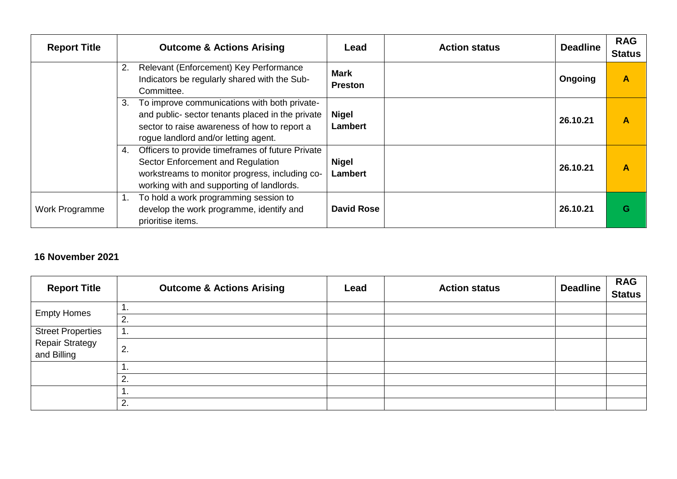| <b>Report Title</b> | <b>Outcome &amp; Actions Arising</b>                                                                                                                                                           | Lead                          | <b>Action status</b> | <b>Deadline</b> | <b>RAG</b><br><b>Status</b> |
|---------------------|------------------------------------------------------------------------------------------------------------------------------------------------------------------------------------------------|-------------------------------|----------------------|-----------------|-----------------------------|
|                     | Relevant (Enforcement) Key Performance<br>2.<br>Indicators be regularly shared with the Sub-<br>Committee.                                                                                     | <b>Mark</b><br><b>Preston</b> |                      | Ongoing         | A                           |
|                     | To improve communications with both private-<br>3.<br>and public- sector tenants placed in the private<br>sector to raise awareness of how to report a<br>rogue landlord and/or letting agent. | <b>Nigel</b><br>Lambert       |                      | 26.10.21        | A                           |
|                     | Officers to provide timeframes of future Private<br>4.<br>Sector Enforcement and Regulation<br>workstreams to monitor progress, including co-<br>working with and supporting of landlords.     | Nigel<br><b>Lambert</b>       |                      | 26.10.21        | Α                           |
| Work Programme      | To hold a work programming session to<br>1.<br>develop the work programme, identify and<br>prioritise items.                                                                                   | <b>David Rose</b>             |                      | 26.10.21        | G                           |

#### **16 November 2021**

| <b>Report Title</b>                   | <b>Outcome &amp; Actions Arising</b> | Lead | <b>Action status</b> | <b>Deadline</b> | <b>RAG</b><br><b>Status</b> |
|---------------------------------------|--------------------------------------|------|----------------------|-----------------|-----------------------------|
| <b>Empty Homes</b>                    |                                      |      |                      |                 |                             |
|                                       | 2.                                   |      |                      |                 |                             |
| <b>Street Properties</b>              | .                                    |      |                      |                 |                             |
| <b>Repair Strategy</b><br>and Billing | 2.                                   |      |                      |                 |                             |
|                                       | . .                                  |      |                      |                 |                             |
|                                       | 2.                                   |      |                      |                 |                             |
|                                       |                                      |      |                      |                 |                             |
|                                       | 2.                                   |      |                      |                 |                             |